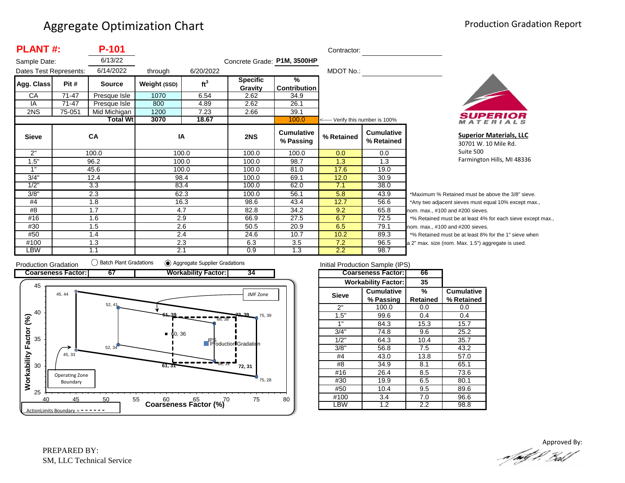| <b>PLANT#:</b><br>P-101 |           |                 |              |                 |                             | Contractor:                    |                                   |                                 |                  |
|-------------------------|-----------|-----------------|--------------|-----------------|-----------------------------|--------------------------------|-----------------------------------|---------------------------------|------------------|
| Sample Date:            |           | 6/13/22         |              |                 | Concrete Grade: P1M, 3500HP |                                |                                   |                                 |                  |
| Dates Test Represents:  |           | 6/14/2022       | through      | 6/20/2022       |                             |                                | MDOT No.:                         |                                 |                  |
| Agg. Class              | Pit #     | <b>Source</b>   | Weight (SSD) | ft <sup>3</sup> | <b>Specific</b><br>Gravity  | $\frac{9}{6}$<br>Contribution  |                                   |                                 |                  |
| CA                      | $71 - 47$ | Presque Isle    | 1070         | 6.54            | 2.62                        | 34.9                           |                                   |                                 |                  |
| IA                      | 71-47     | Presque Isle    | 800          | 4.89            | 2.62                        | 26.1                           |                                   |                                 |                  |
| 2NS                     | 75-051    | Mid Michigan    | 1200         | 7.23            | 2.66                        | 39.1                           |                                   |                                 |                  |
|                         |           | <b>Total Wt</b> | 3070         | 18.67           |                             | 100.0                          | <----- Verify this number is 100% |                                 |                  |
| <b>Sieve</b>            |           | <b>CA</b>       | IA           |                 | 2NS                         | <b>Cumulative</b><br>% Passing | % Retained                        | <b>Cumulative</b><br>% Retained |                  |
| 2"                      |           | 100.0           |              | 100.0           | 100.0                       | 100.0                          | 0.0                               | 0.0                             |                  |
| 1.5"                    |           | 96.2            |              | 100.0           | 100.0                       | 98.7                           | 1.3                               | 1.3                             |                  |
| 1"                      |           | 45.6            |              | 100.0           | 100.0                       | 81.0                           | 17.6                              | 19.0                            |                  |
| 3/4"                    |           | 12.4            |              | 98.4            | 100.0                       | 69.1                           | 12.0                              | 30.9                            |                  |
| 1/2"                    |           | 3.3             |              | 83.4            | 100.0                       | 62.0                           | 7.1                               | 38.0                            |                  |
| 3/8"                    |           | 2.3             |              | 62.3            | 100.0                       | 56.1                           | 5.8                               | 43.9                            | *۱               |
| #4                      |           | 1.8             |              | 16.3            | 98.6                        | 43.4                           | 12.7                              | 56.6                            | */               |
| #8                      |           | 1.7             |              | 4.7             | 82.8                        | 34.2                           | 9.2                               | 65.8                            | nor              |
| #16                     |           | 1.6             |              | 2.9             | 66.9                        | 27.5                           | 6.7                               | 72.5                            | $*$ <sup>o</sup> |
| #30                     |           | 1.5             |              | 2.6             | 50.5                        | 20.9                           | 6.5                               | 79.1                            | nor              |
| #50                     |           | 1.4             |              | 2.4             | 24.6                        | 10.7                           | 10.2                              | 89.3                            | $*$ <sup>o</sup> |
| #100                    |           | 1.3             |              | 2.3             | 6.3                         | 3.5                            | 7.2                               | 96.5                            | a <sub>2</sub>   |
| LBW                     |           | 1.1             | 2.1          |                 | 0.9                         | 1.3                            | 2.2                               | 98.7                            |                  |



**Superior Materials, LLC** 30701 W. 10 Mile Rd. Suite 500 Farmington Hills, MI 48336

Maximum % Retained must be above the 3/8" sieve. Any two adjacent sieves must equal 10% except max., m. max., #100 and #200 sieves. % Retained must be at least 4% for each sieve except max., m. max., #100 and #200 sieves. % Retained must be at least 8% for the 1" sieve when <sup>2"</sup> max. size (nom. Max. 1.5") aggregate is used.



| Initial Production Sample (IPS) |                            |          |                   |  |  |  |  |  |
|---------------------------------|----------------------------|----------|-------------------|--|--|--|--|--|
|                                 | <b>Coarseness Factor:</b>  | 66       |                   |  |  |  |  |  |
|                                 | <b>Workability Factor:</b> | 35       |                   |  |  |  |  |  |
| <b>Sieve</b>                    | <b>Cumulative</b>          | %        | <b>Cumulative</b> |  |  |  |  |  |
|                                 | % Passing                  | Retained | % Retained        |  |  |  |  |  |
| 2"                              | 100.0                      | 0.0      | 0.0               |  |  |  |  |  |
| 1.5"                            | 99.6                       | 0.4      | 0.4               |  |  |  |  |  |
| 1"                              | 84.3                       | 15.3     | 15.7              |  |  |  |  |  |
| 3/4"                            | 74.8                       | 9.6      | 25.2              |  |  |  |  |  |
| 1/2"                            | 64.3                       | 10.4     | 35.7              |  |  |  |  |  |
| 3/8"                            | 56.8                       | 7.5      | 43.2              |  |  |  |  |  |
| #4                              | 43.0                       | 13.8     | 57.0              |  |  |  |  |  |
| #8                              | 34.9                       | 8.1      | 65.1              |  |  |  |  |  |
| #16                             | 26.4                       | 8.5      | 73.6              |  |  |  |  |  |
| #30                             | 19.9                       | 6.5      | 80.1              |  |  |  |  |  |
| #50                             | 10.4                       | 9.5      | 89.6              |  |  |  |  |  |
| #100                            | 3.4                        | 7.0      | 96.6              |  |  |  |  |  |
| ∟BW                             | $\overline{1.2}$           | 2.2      | 98.8              |  |  |  |  |  |

Approved By:a fødf f. Bolf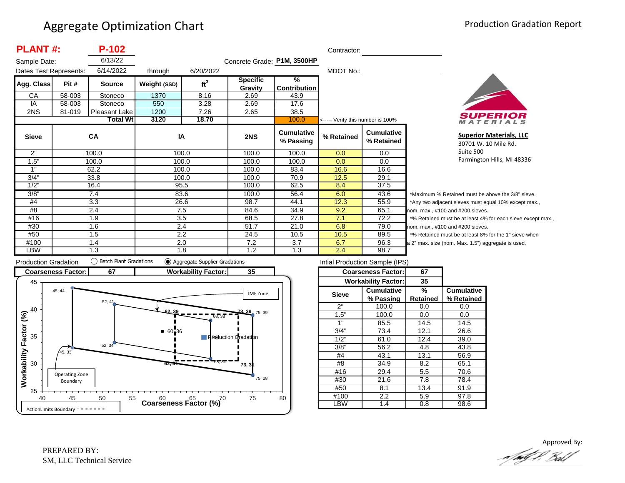| <b>PLANT#:</b><br>P-102 |        |                 |              |                 |                            | Contractor:                          |                                   |                                 |
|-------------------------|--------|-----------------|--------------|-----------------|----------------------------|--------------------------------------|-----------------------------------|---------------------------------|
| Sample Date:            |        | 6/13/22         |              |                 |                            | Concrete Grade: P1M, 3500HP          |                                   |                                 |
| Dates Test Represents:  |        | 6/14/2022       | through      | 6/20/2022       |                            |                                      | MDOT No.:                         |                                 |
| Agg. Class              | Pit #  | <b>Source</b>   | Weight (SSD) | ft <sup>3</sup> | <b>Specific</b><br>Gravity | $\frac{9}{6}$<br><b>Contribution</b> |                                   |                                 |
| CA                      | 58-003 | Stoneco         | 1370         | 8.16            | 2.69                       | 43.9                                 |                                   |                                 |
| IA                      | 58-003 | Stoneco         | 550          | 3.28            | 2.69                       | 17.6                                 |                                   |                                 |
| 2NS                     | 81-019 | Pleasant Lake   | 1200         | 7.26            | 2.65                       | 38.5                                 |                                   |                                 |
|                         |        | <b>Total Wt</b> | 3120         | 18.70           |                            | 100.0                                | <----- Verify this number is 100% |                                 |
| <b>Sieve</b>            |        | <b>CA</b>       | IA           |                 | 2NS                        | <b>Cumulative</b><br>% Passing       | % Retained                        | <b>Cumulative</b><br>% Retained |
| 2"                      |        | 100.0           | 100.0        |                 | 100.0                      | 100.0                                | 0.0                               | 0.0                             |
| 1.5"                    |        | 100.0           | 100.0        |                 | 100.0                      | 100.0                                | 0.0                               | 0.0                             |
| 1"                      |        | 62.2            | 100.0        |                 | 100.0                      | 83.4                                 | 16.6                              | 16.6                            |
| $3/\overline{4}$ "      |        | 33.8            | 100.0        |                 | 100.0                      | 70.9                                 | 12.5                              | 29.1                            |
| 1/2"                    |        | 16.4            | 95.5         |                 | 100.0                      | 62.5                                 | 8.4                               | 37.5                            |
| 3/8"                    |        | 7.4             | 83.6         |                 | 100.0                      | 56.4                                 | 6.0                               | 43.6                            |
| #4                      |        | 3.3             | 26.6         |                 | 98.7                       | 44.1                                 | 12.3                              | 55.9                            |
| #8                      |        | 2.4             | 7.5          |                 | 84.6                       | 34.9                                 | 9.2                               | 65.1                            |
| #16                     |        | 1.9             | 3.5          |                 | 68.5                       | 27.8                                 | 7.1                               | 72.2                            |
| #30                     |        | 1.6             | 2.4          |                 | 51.7                       | 21.0                                 | 6.8                               | 79.0                            |
| #50                     |        | 1.5             | 2.2          |                 | 24.5                       | 10.5                                 | 10.5                              | 89.5                            |
| #100                    |        | 1.4             | 2.0          |                 | 7.2                        | 3.7                                  | 6.7                               | 96.3                            |
| LBW                     |        | 1.3             | 1.8          |                 | 1.2                        | 1.3                                  | 2.4                               | 98.7                            |



**Superior Materials, LLC** 30701 W. 10 Mile Rd. Suite 500 Farmington Hills, MI 48336

\*Maximum % Retained must be above the 3/8" sieve. \*Any two adjacent sieves must equal 10% except max., om. max., #100 and #200 sieves. \*% Retained must be at least 4% for each sieve except max., om. max., #100 and #200 sieves. \*% Retained must be at least 8% for the 1" sieve when 2" max. size (nom. Max. 1.5") aggregate is used.



| Intial Production Sample (IPS) |                            |          |                   |  |  |  |  |  |
|--------------------------------|----------------------------|----------|-------------------|--|--|--|--|--|
|                                | <b>Coarseness Factor:</b>  | 67       |                   |  |  |  |  |  |
|                                | <b>Workability Factor:</b> | 35       |                   |  |  |  |  |  |
| <b>Sieve</b>                   | Cumulative                 | ℅        | <b>Cumulative</b> |  |  |  |  |  |
|                                | % Passing                  | Retained | % Retained        |  |  |  |  |  |
| 2"                             | 100.0                      | 0.0      | 0.0               |  |  |  |  |  |
| 1.5"                           | 100.0                      | 0.0      | 0.0               |  |  |  |  |  |
| 1"                             | 85.5                       | 14.5     | 14.5              |  |  |  |  |  |
| 3/4"                           | 73.4                       | 12.1     | 26.6              |  |  |  |  |  |
| 1/2"                           | 61.0                       | 12.4     | 39.0              |  |  |  |  |  |
| 3/8"                           | 56.2                       | 4.8      | 43.8              |  |  |  |  |  |
| #4                             | 43.1                       | 13.1     | 56.9              |  |  |  |  |  |
| #8                             | 34.9                       | 8.2      | 65.1              |  |  |  |  |  |
| #16                            | 29.4                       | 5.5      | 70.6              |  |  |  |  |  |
| #30                            | 21.6                       | 7.8      | 78.4              |  |  |  |  |  |
| #50                            | 8.1                        | 13.4     | 91.9              |  |  |  |  |  |
| #100                           | $2.2\,$                    | 5.9      | 97.8              |  |  |  |  |  |
| .BW                            | 1.4                        | 0.8      | 98.6              |  |  |  |  |  |

Approved By:<br>Approved By: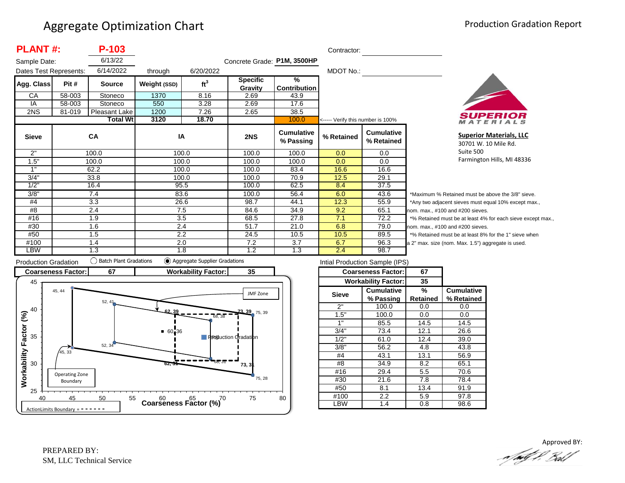| <b>PLANT#:</b><br>P-103 |        |                 |              |                 |                             |                                      | Contractor:                       |                                 |
|-------------------------|--------|-----------------|--------------|-----------------|-----------------------------|--------------------------------------|-----------------------------------|---------------------------------|
| Sample Date:            |        | 6/13/22         |              |                 | Concrete Grade: P1M, 3500HP |                                      |                                   |                                 |
| Dates Test Represents:  |        | 6/14/2022       | through      | 6/20/2022       |                             |                                      | MDOT No.:                         |                                 |
| Agg. Class              | Pit #  | <b>Source</b>   | Weight (SSD) | ft <sup>3</sup> | <b>Specific</b><br>Gravity  | $\frac{9}{6}$<br><b>Contribution</b> |                                   |                                 |
| CA                      | 58-003 | Stoneco         | 1370         | 8.16            | 2.69                        | 43.9                                 |                                   |                                 |
| IA                      | 58-003 | Stoneco         | 550          | 3.28            | 2.69                        | 17.6                                 |                                   |                                 |
| 2NS                     | 81-019 | Pleasant Lake   | 1200         | 7.26            | 2.65                        | 38.5                                 |                                   |                                 |
|                         |        | <b>Total Wt</b> | 3120         | 18.70           |                             | 100.0                                | <----- Verify this number is 100% |                                 |
| <b>Sieve</b>            |        | <b>CA</b>       | IA           |                 | 2NS                         | <b>Cumulative</b><br>% Passing       | % Retained                        | <b>Cumulative</b><br>% Retained |
| 2"                      |        | 100.0           | 100.0        |                 | 100.0                       | 100.0                                | 0.0                               | 0.0                             |
| 1.5"                    |        | 100.0           | 100.0        |                 | 100.0                       | 100.0                                | 0.0                               | 0.0                             |
| 1"                      |        | 62.2            | 100.0        |                 | 100.0                       | 83.4                                 | 16.6                              | 16.6                            |
| 3/4"                    |        | 33.8            | 100.0        |                 | 100.0                       | 70.9                                 | 12.5                              | 29.1                            |
| 1/2"                    |        | 16.4            | 95.5         |                 | 100.0                       | 62.5                                 | 8.4                               | 37.5                            |
| 3/8"                    |        | 7.4             | 83.6         |                 | 100.0                       | 56.4                                 | 6.0                               | 43.6                            |
| #4                      |        | 3.3             | 26.6         |                 | 98.7                        | 44.1                                 | 12.3                              | 55.9                            |
| #8                      |        | 2.4             | 7.5          |                 | 84.6                        | 34.9                                 | 9.2                               | 65.1                            |
| #16                     |        | 1.9             | 3.5          |                 | 68.5                        | 27.8                                 | 7.1                               | 72.2                            |
| #30                     |        | 1.6             | 2.4          |                 | 51.7                        | 21.0                                 | 6.8                               | 79.0                            |
| #50                     |        | 1.5             | 2.2          |                 | 24.5                        | 10.5                                 | 10.5                              | 89.5                            |
| #100                    |        | 1.4             | 2.0          |                 | 7.2                         | 3.7                                  | 6.7                               | 96.3                            |
| LBW                     |        | 1.3             | 1.8          |                 | 1.2                         | 1.3                                  | 2.4                               | 98.7                            |



**Superior Materials, LLC** 30701 W. 10 Mile Rd. Suite 500 Farmington Hills, MI 48336

\*Maximum % Retained must be above the 3/8" sieve. \*Any two adjacent sieves must equal 10% except max., om. max.,  $#100$  and  $#200$  sieves. \*% Retained must be at least 4% for each sieve except max., om. max., #100 and #200 sieves. % Retained must be at least 8% for the 1" sieve when 2" max. size (nom. Max. 1.5") aggregate is used.



| Intial Production Sample (IPS) |                            |          |                   |  |  |  |  |  |
|--------------------------------|----------------------------|----------|-------------------|--|--|--|--|--|
|                                | <b>Coarseness Factor:</b>  | 67       |                   |  |  |  |  |  |
|                                | <b>Workability Factor:</b> | 35       |                   |  |  |  |  |  |
| <b>Sieve</b>                   | <b>Cumulative</b>          | %        | <b>Cumulative</b> |  |  |  |  |  |
|                                | % Passing                  | Retained | % Retained        |  |  |  |  |  |
| 2"                             | 100.0                      | 0.0      | 0.0               |  |  |  |  |  |
| 1.5"                           | 100.0                      | 0.0      | 0.0               |  |  |  |  |  |
| 1"                             | 85.5                       | 14.5     | 14.5              |  |  |  |  |  |
| 3/4"                           | 73.4                       | 12.1     | 26.6              |  |  |  |  |  |
| 1/2"                           | 61.0                       | 12.4     | 39.0              |  |  |  |  |  |
| 3/8"                           | 56.2                       | 4.8      | 43.8              |  |  |  |  |  |
| #4                             | 43.1                       | 13.1     | 56.9              |  |  |  |  |  |
| #8                             | 34.9                       | 8.2      | 65.1              |  |  |  |  |  |
| #16                            | 29.4                       | 5.5      | 70.6              |  |  |  |  |  |
| #30                            | 21.6                       | 7.8      | 78.4              |  |  |  |  |  |
| #50                            | 8.1                        | 13.4     | 91.9              |  |  |  |  |  |
| #100                           | 2.2                        | 5.9      | 97.8              |  |  |  |  |  |
| -BW                            | 1.4                        | 0.8      | 98.6              |  |  |  |  |  |

Approved BY:a fødf f. Bolf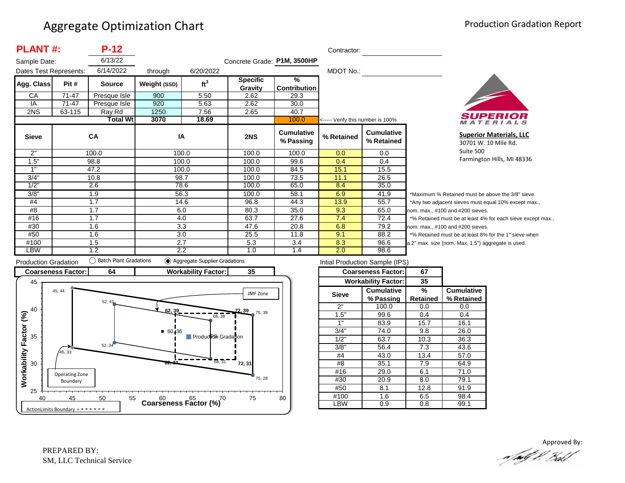|                        | <b>PLANT#:</b><br>$P-12$         |               |              |                                   |                             |                                | Contractor: |                                 |                   |
|------------------------|----------------------------------|---------------|--------------|-----------------------------------|-----------------------------|--------------------------------|-------------|---------------------------------|-------------------|
| Sample Date:           |                                  | 6/13/22       |              |                                   | Concrete Grade: P1M, 3500HP |                                |             |                                 |                   |
| Dates Test Represents: |                                  | 6/14/2022     | through      | 6/20/2022                         |                             |                                | MDOT No.:   |                                 |                   |
| Agg. Class             | Pit#                             | <b>Source</b> | Weight (SSD) | ft <sup>3</sup>                   | <b>Specific</b>             | $\frac{9}{6}$                  |             |                                 |                   |
|                        |                                  |               |              |                                   | Gravity                     | <b>Contribution</b>            |             |                                 |                   |
| CA                     | $71 - 47$                        | Presque Isle  | 900          | 5.50                              | 2.62                        | 29.3                           |             |                                 |                   |
| IA                     | 71-47                            | Presque Isle  | 920          | 5.63                              | 2.62                        | 30.0                           |             |                                 |                   |
| 2NS                    | 63-115                           | Ray Rd        | 1250         | 7.56                              | 2.65                        | 40.7                           |             |                                 |                   |
|                        | <b>Total Wt</b><br>3070<br>18.69 |               | 100.0        | <----- Verify this number is 100% |                             |                                |             |                                 |                   |
| <b>Sieve</b>           |                                  | <b>CA</b>     | IA           |                                   | 2NS                         | <b>Cumulative</b><br>% Passing | % Retained  | <b>Cumulative</b><br>% Retained |                   |
| 2"                     |                                  | 100.0         | 100.0        |                                   | 100.0                       | 100.0                          | 0.0         | 0.0                             |                   |
| 1.5"                   |                                  | 98.8          | 100.0        |                                   | 100.0                       | 99.6                           | 0.4         | 0.4                             |                   |
| 1"                     |                                  | 47.2          | 100.0        |                                   | 100.0                       | 84.5                           | 15.1        | 15.5                            |                   |
| 3/4"                   |                                  | 10.8          | 98.7         |                                   | 100.0                       | 73.5                           | 11.1        | 26.5                            |                   |
| 1/2"                   |                                  | 2.6           | 78.6         |                                   | 100.0                       | 65.0                           | 8.4         | 35.0                            |                   |
| 3/8"                   |                                  | 1.9           | 56.3         |                                   | 100.0                       | 58.1                           | 6.9         | 41.9                            | $*_{N}$           |
| #4                     |                                  | 1.7           | 14.6         |                                   | 96.8                        | 44.3                           | 13.9        | 55.7                            | $^*A$             |
| #8                     | 1.7                              |               | 6.0          |                                   | 80.3                        | 35.0                           | 9.3         | 65.0                            | non               |
| #16                    |                                  | 1.7           | 4.0          |                                   | 63.7                        | 27.6                           | 7.4         | 72.4                            | $*_{\frac{0}{2}}$ |
| #30                    |                                  | 1.6           | 3.3          |                                   | 47.6                        | 20.8                           | 6.8         | 79.2                            | non               |
| #50                    |                                  | 1.6           | 3.0          |                                   | 25.5                        | 11.8                           | 9.1         | 88.2                            | $*_{\frac{0}{2}}$ |
| #100                   |                                  | 1.5           | 2.7          |                                   | 5.3                         | 3.4                            | 8.3         | 96.6                            | a 2'              |
| <b>LBW</b>             |                                  | 1.2           | 2.2          |                                   | 1.0                         | 1.4                            | 2.0         | 98.6                            |                   |



**Superior Materials, LLC** 30701 W. 10 Mile Rd. Suite 500 Farmington Hills, MI 48336

laximum % Retained must be above the 3/8" sieve. ny two adjacent sieves must equal 10% except max., m. max., #100 and #200 sieves. 6 Retained must be at least 4% for each sieve except max., m. max., #100 and #200 sieves. 6 Retained must be at least 8% for the 1" sieve when max. size (nom. Max. 1.5") aggregate is used.



| Intial Production Sample (IPS) |                            |          |                   |  |  |  |  |  |
|--------------------------------|----------------------------|----------|-------------------|--|--|--|--|--|
|                                | <b>Coarseness Factor:</b>  | 67       |                   |  |  |  |  |  |
|                                | <b>Workability Factor:</b> | 35       |                   |  |  |  |  |  |
| Sieve                          | <b>Cumulative</b>          | %        | <b>Cumulative</b> |  |  |  |  |  |
|                                | % Passing                  | Retained | % Retained        |  |  |  |  |  |
| 2"                             | 100.0                      | 0.0      | 0.0               |  |  |  |  |  |
| 1.5"                           | 99.6                       | 0.4      | 0.4               |  |  |  |  |  |
| 1"                             | 83.9                       | 15.7     | 16.1              |  |  |  |  |  |
| 3/4"                           | 74.0                       | 9.8      | 26.0              |  |  |  |  |  |
| 1/2"                           | 63.7                       | 10.3     | 36.3              |  |  |  |  |  |
| 3/8"                           | 56.4                       | 7.3      | 43.6              |  |  |  |  |  |
| #4                             | 43.0                       | 13.4     | 57.0              |  |  |  |  |  |
| #8                             | 35.1                       | 7.9      | 64.9              |  |  |  |  |  |
| #16                            | 29.0                       | 6.1      | 71.0              |  |  |  |  |  |
| #30                            | 20.9                       | 8.0      | 79.1              |  |  |  |  |  |
| #50                            | 8.1                        |          | 91.9              |  |  |  |  |  |
| #100                           | 1.6                        | 6.5      | 98.4              |  |  |  |  |  |
| ∟BW                            | 0.9                        | 0.8      | 99.1              |  |  |  |  |  |

Approved By:<br>Approved By: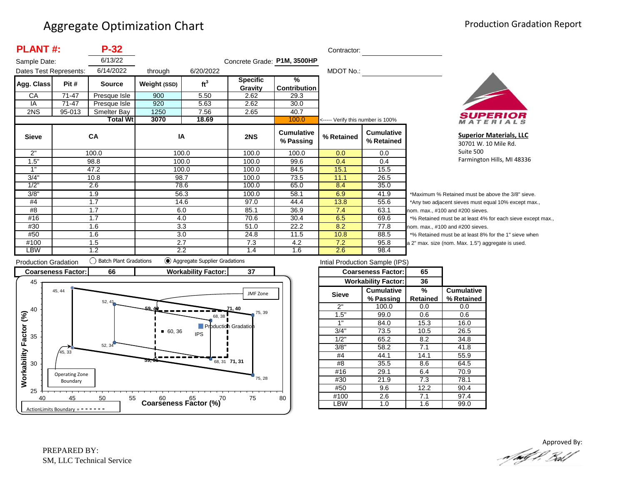| <b>PLANT#:</b><br>$P-32$ |        |                 |              |                 |                             | Contractor:                    |                                   |                                 |          |
|--------------------------|--------|-----------------|--------------|-----------------|-----------------------------|--------------------------------|-----------------------------------|---------------------------------|----------|
| Sample Date:             |        | 6/13/22         |              |                 | Concrete Grade: P1M, 3500HP |                                |                                   |                                 |          |
| Dates Test Represents:   |        | 6/14/2022       | through      | 6/20/2022       |                             |                                | MDOT No.:                         |                                 |          |
| Agg. Class               | Pit #  | <b>Source</b>   | Weight (SSD) | ft <sup>3</sup> | <b>Specific</b>             | %                              |                                   |                                 |          |
|                          |        |                 |              |                 | Gravity                     | <b>Contribution</b>            |                                   |                                 |          |
| CA                       | 71-47  | Presque Isle    | 900          | 5.50            | 2.62                        | 29.3                           |                                   |                                 |          |
| IA                       | 71-47  | Presque Isle    | 920          | 5.63            | 2.62                        | 30.0                           |                                   |                                 |          |
| 2NS                      | 95-013 | Smelter Bay     | 1250         | 7.56            | 2.65                        | 40.7                           |                                   |                                 |          |
|                          |        | <b>Total Wt</b> | 3070         | 18.69           |                             | 100.0                          | <----- Verify this number is 100% |                                 |          |
| <b>Sieve</b>             |        | <b>CA</b>       | IA           |                 | 2NS                         | <b>Cumulative</b><br>% Passing | % Retained                        | <b>Cumulative</b><br>% Retained |          |
| 2"                       |        | 100.0           |              | 100.0           | 100.0                       | 100.0                          | 0.0                               | 0.0                             |          |
| 1.5"                     |        | 98.8            |              | 100.0           | 100.0                       | 99.6                           | 0.4                               | 0.4                             |          |
| 1"                       |        | 47.2            |              | 100.0           | 100.0                       | 84.5                           | 15.1                              | 15.5                            |          |
| 3/4"                     |        | 10.8            |              | 98.7            | 100.0                       | 73.5                           | 11.1                              | 26.5                            |          |
| 1/2"                     |        | 2.6             |              | 78.6            | 100.0                       | 65.0                           | 8.4                               | 35.0                            |          |
| 3/8"                     |        | 1.9             |              | 56.3            | 100.0                       | 58.1                           | 6.9                               | 41.9                            | $^\star$ |
| #4                       |        | 1.7             |              | 14.6            | 97.0                        | 44.4                           | 13.8                              | 55.6                            | $^\star$ |
| #8                       |        | 1.7             | 6.0          |                 | 85.1                        | 36.9                           | 7.4                               | 63.1                            | no       |
| #16                      |        | 1.7             |              | 4.0             | 70.6                        | 30.4                           | 6.5                               | 69.6                            |          |
| #30                      |        | 1.6             |              | 3.3             | 51.0                        | 22.2                           | 8.2                               | 77.8                            | no       |
| #50                      |        | 1.6             |              | 3.0             | 24.8                        | 11.5                           | 10.8                              | 88.5                            |          |
| #100                     |        | 1.5             | 2.7          |                 | 7.3                         | 4.2                            | 7.2                               | 95.8                            | la 2     |
| LBW                      |        | 1.2             |              | 2.2             | 1.4                         | 1.6                            | 2.6                               | 98.4                            |          |



**Superior Materials, LLC** 30701 W. 10 Mile Rd. Suite 500 Farmington Hills, MI 48336

Maximum % Retained must be above the 3/8" sieve. Any two adjacent sieves must equal 10% except max.,  $m.$  max.,  $#100$  and  $#200$  sieves. % Retained must be at least 4% for each sieve except max.,  $km.$  max.,  $#100$  and  $#200$  sieves. % Retained must be at least 8% for the 1" sieve when 2" max. size (nom. Max. 1.5") aggregate is used.



| Intial Production Sample (IPS) |                            |          |                   |  |  |  |  |  |
|--------------------------------|----------------------------|----------|-------------------|--|--|--|--|--|
|                                | <b>Coarseness Factor:</b>  | 65       |                   |  |  |  |  |  |
|                                | <b>Workability Factor:</b> | 36       |                   |  |  |  |  |  |
| <b>Sieve</b>                   | <b>Cumulative</b>          | %        | <b>Cumulative</b> |  |  |  |  |  |
|                                | % Passing                  | Retained | % Retained        |  |  |  |  |  |
| 2"                             | 100.0                      | 0.0      | 0.0               |  |  |  |  |  |
| 1.5"                           | 99.0                       | 0.6      | 0.6               |  |  |  |  |  |
| 1"                             | 84.0                       | 15.3     | 16.0              |  |  |  |  |  |
| 3/4"                           | 73.5                       | 10.5     | 26.5              |  |  |  |  |  |
| 1/2"                           | 65.2                       | 8.2      | 34.8              |  |  |  |  |  |
| 3/8"                           | 58.2                       | 7.1      | 41.8              |  |  |  |  |  |
| #4                             | 44.1                       | 14.1     | 55.9              |  |  |  |  |  |
| #8                             | 35.5                       | 8.6      | 64.5              |  |  |  |  |  |
| #16                            | 29.1                       | 6.4      | 70.9              |  |  |  |  |  |
| #30                            | 21.9                       | 7.3      | 78.1              |  |  |  |  |  |
| #50                            | 9.6                        |          | 90.4              |  |  |  |  |  |
| #100                           | 2.6                        | 7.1      | 97.4              |  |  |  |  |  |
| LBW                            | 1.0                        | 1.6      | 99.0              |  |  |  |  |  |
|                                |                            |          |                   |  |  |  |  |  |

Approved By:<br>Approved By: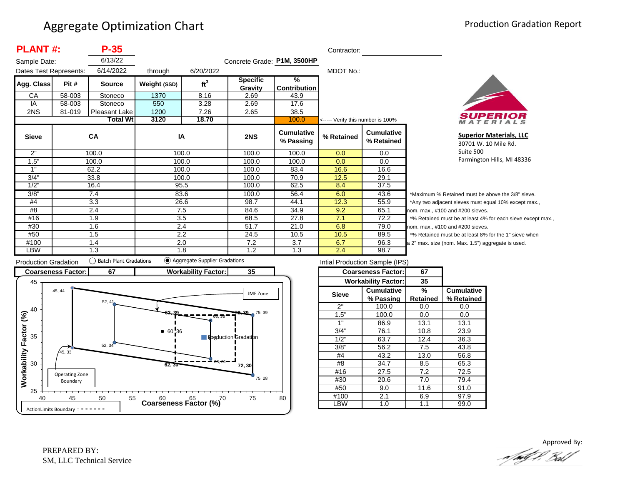| <b>PLANT#:</b><br>$P-35$ |        |                 |              |                 |                             | Contractor:                          |                                   |                                 |
|--------------------------|--------|-----------------|--------------|-----------------|-----------------------------|--------------------------------------|-----------------------------------|---------------------------------|
| Sample Date:             |        | 6/13/22         |              |                 | Concrete Grade: P1M, 3500HP |                                      |                                   |                                 |
| Dates Test Represents:   |        | 6/14/2022       | through      | 6/20/2022       |                             |                                      | MDOT No.:                         |                                 |
| Agg. Class               | Pit #  | <b>Source</b>   | Weight (SSD) | ft <sup>3</sup> | <b>Specific</b><br>Gravity  | $\frac{9}{6}$<br><b>Contribution</b> |                                   |                                 |
| CA                       | 58-003 | Stoneco         | 1370         | 8.16            | 2.69                        | 43.9                                 |                                   |                                 |
| IA                       | 58-003 | Stoneco         | 550          | 3.28            | 2.69                        | 17.6                                 |                                   |                                 |
| 2NS                      | 81-019 | Pleasant Lake   | 1200         | 7.26            | 2.65                        | 38.5                                 |                                   |                                 |
|                          |        | <b>Total Wt</b> | 3120         | 18.70           |                             | 100.0                                | <----- Verify this number is 100% |                                 |
| <b>Sieve</b>             |        | <b>CA</b>       | IA           |                 | 2NS                         | <b>Cumulative</b><br>% Passing       | % Retained                        | <b>Cumulative</b><br>% Retained |
| 2"                       |        | 100.0           |              | 100.0           | 100.0                       | 100.0                                | 0.0                               | 0.0                             |
| 1.5"                     |        | 100.0           |              | 100.0           | 100.0                       | 100.0                                | 0.0                               | 0.0                             |
| 1"                       |        | 62.2            |              | 100.0           | 100.0                       | 83.4                                 | 16.6                              | 16.6                            |
| 3/4"                     |        | 33.8            |              | 100.0           | 100.0                       | 70.9                                 | 12.5                              | 29.1                            |
| 1/2"                     |        | 16.4            |              | 95.5            | 100.0                       | 62.5                                 | 8.4                               | 37.5                            |
| 3/8"                     |        | 7.4             | 83.6         |                 | 100.0                       | 56.4                                 | 6.0                               | 43.6                            |
| #4                       | 3.3    |                 | 26.6         |                 | 98.7                        | 44.1                                 | 12.3                              | 55.9                            |
| #8                       | 2.4    |                 |              | 7.5             | 84.6                        | 34.9                                 | 9.2                               | 65.1<br>nc                      |
| #16                      |        | 1.9             |              | 3.5             | 68.5                        | 27.8                                 | 7.1                               | 72.2                            |
| #30                      |        | 1.6             |              | 2.4             | 51.7                        | 21.0                                 | 6.8                               | 79.0<br>nc                      |
| #50                      |        | 1.5             |              | 2.2             | 24.5                        | 10.5                                 | 10.5                              | 89.5                            |
| #100                     |        | 1.4             |              | 2.0             | 7.2                         | 3.7                                  | 6.7                               | 96.3<br>$a$ :                   |
| LBW                      |        | 1.3             |              | 1.8             | 1.2                         | 1.3                                  | 2.4                               | 98.7                            |



**Superior Materials, LLC** 30701 W. 10 Mile Rd. Suite 500 Farmington Hills, MI 48336

Maximum % Retained must be above the 3/8" sieve. Any two adjacent sieves must equal 10% except max.,  $\mathsf{pm}$ . max., #100 and #200 sieves. % Retained must be at least 4% for each sieve except max.,  $om.$  max.,  $#100$  and  $#200$  sieves. % Retained must be at least 8% for the 1" sieve when 2" max. size (nom. Max. 1.5") aggregate is used.



| Intial Production Sample (IPS) |                            |          |                   |  |  |  |  |  |
|--------------------------------|----------------------------|----------|-------------------|--|--|--|--|--|
|                                | <b>Coarseness Factor:</b>  | 67       |                   |  |  |  |  |  |
|                                | <b>Workability Factor:</b> | 35       |                   |  |  |  |  |  |
| <b>Sieve</b>                   | <b>Cumulative</b>          | %        | <b>Cumulative</b> |  |  |  |  |  |
|                                | % Passing                  | Retained | % Retained        |  |  |  |  |  |
| 2"                             | 100.0                      | 0.0      | 0.0               |  |  |  |  |  |
| 1.5"                           | 100.0                      | 0.0      | 0.0               |  |  |  |  |  |
| 1"                             | 86.9                       | 13.1     | 13.1              |  |  |  |  |  |
| 3/4"                           | 76.1                       | 10.8     | 23.9              |  |  |  |  |  |
| 1/2"                           | 63.7                       | 12.4     | 36.3              |  |  |  |  |  |
| 3/8"                           | 56.2                       | 7.5      | 43.8              |  |  |  |  |  |
| #4                             | 43.2                       | 13.0     | 56.8              |  |  |  |  |  |
| #8                             | 34.7                       | 8.5      | 65.3              |  |  |  |  |  |
| #16                            | 27.5                       | 7.2      | 72.5              |  |  |  |  |  |
| #30                            | 20.6                       | 7.0      | 79.4              |  |  |  |  |  |
| #50                            | 9.0                        | 11.6     | 91.0              |  |  |  |  |  |
| #100                           | 2.1                        | 6.9      | 97.9              |  |  |  |  |  |
| ∟BW                            | 1.0                        | 1.1      | 99.0              |  |  |  |  |  |

Approved By:<br>Approved By: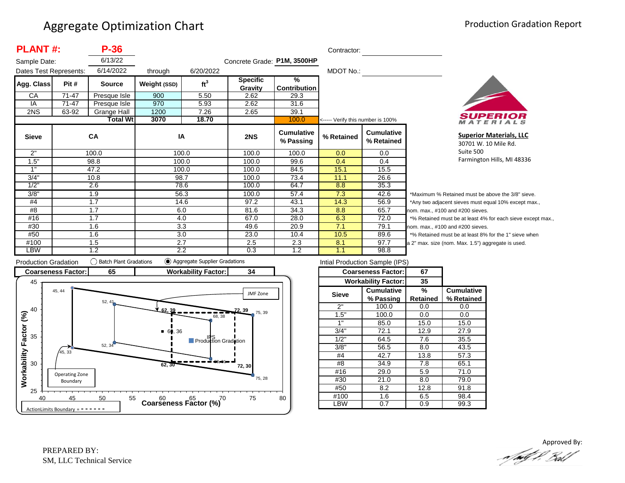| <b>PLANT#:</b>         |       | $P-36$          |              |                 |                             |                                | Contractor:                       |                                 |                |  |
|------------------------|-------|-----------------|--------------|-----------------|-----------------------------|--------------------------------|-----------------------------------|---------------------------------|----------------|--|
| Sample Date:           |       | 6/13/22         |              |                 | Concrete Grade: P1M, 3500HP |                                |                                   |                                 |                |  |
| Dates Test Represents: |       | 6/14/2022       | through      | 6/20/2022       |                             |                                | MDOT No.:                         |                                 |                |  |
| Agg. Class             | Pit # | <b>Source</b>   | Weight (SSD) | ft <sup>3</sup> | <b>Specific</b><br>Gravity  | $\frac{9}{6}$<br>Contribution  |                                   |                                 |                |  |
| СA                     | 71-47 | Presque Isle    | 900          | 5.50            | 2.62                        | 29.3                           |                                   |                                 |                |  |
| IA                     | 71-47 | Presque Isle    | 970          | 5.93            | 2.62                        | 31.6                           |                                   |                                 |                |  |
| 2NS                    | 63-92 | Grange Hall     | 1200         | 7.26            | 2.65                        | 39.1                           |                                   |                                 |                |  |
|                        |       | <b>Total Wt</b> | 3070         | 18.70           |                             | 100.0                          | <----- Verify this number is 100% |                                 |                |  |
| <b>Sieve</b>           |       | CA              | IA           |                 | 2NS                         | <b>Cumulative</b><br>% Passing | % Retained                        | <b>Cumulative</b><br>% Retained |                |  |
| 2"                     |       | 100.0           |              | 100.0           | 100.0                       | 100.0                          | 0.0                               | 0.0                             |                |  |
| 1.5"                   |       | 98.8            |              | 100.0           | 100.0                       | 99.6                           | 0.4                               | 0.4                             |                |  |
| 1"                     |       | 47.2            |              | 100.0           | 100.0                       | 84.5                           | 15.1                              | 15.5                            |                |  |
| 3/4"                   |       | 10.8            |              | 98.7            | 100.0                       | 73.4                           | 11.1                              | 26.6                            |                |  |
| 1/2"                   |       | 2.6             |              | 78.6            | 100.0                       | 64.7                           | 8.8                               | 35.3                            |                |  |
| 3/8"                   | 1.9   |                 |              | 56.3            | 100.0                       | 57.4                           | 7.3                               | 42.6                            | *Μ             |  |
| #4                     | 1.7   |                 |              | 14.6            | 97.2                        | 43.1                           | 14.3                              | 56.9                            | */             |  |
| #8                     | 1.7   |                 | 6.0          |                 | 81.6                        | 34.3                           | 8.8                               | 65.7                            | nor            |  |
| #16                    | 1.7   |                 |              | 4.0             | 67.0                        | 28.0                           | 6.3                               | 72.0                            | $*_{0}$        |  |
| #30                    | 1.6   |                 |              | 3.3             | 49.6                        | 20.9                           | 7.1                               | 79.1                            | nor            |  |
| #50                    | 1.6   |                 |              | 3.0             | 23.0                        | 10.4                           | 10.5                              | 89.6                            | $*_{0}$        |  |
| #100                   |       | 1.5             |              | 2.7             | 2.5                         | 2.3                            | 8.1                               | 97.7                            | a <sub>2</sub> |  |
| <b>LBW</b>             |       | 1.2             |              | 2.2             | 0.3                         | 1.2                            | 1.1                               | 98.8                            |                |  |



**Superior Materials, LLC** 30701 W. 10 Mile Rd. Suite 500 Farmington Hills, MI 48336

Maximum % Retained must be above the 3/8" sieve. Any two adjacent sieves must equal 10% except max., m. max., #100 and #200 sieves. % Retained must be at least 4% for each sieve except max., m. max., #100 and #200 sieves. % Retained must be at least 8% for the 1" sieve when <sup>2"</sup> max. size (nom. Max. 1.5") aggregate is used.



| Intial Production Sample (IPS) |                            |                 |                   |  |  |  |  |  |
|--------------------------------|----------------------------|-----------------|-------------------|--|--|--|--|--|
|                                | <b>Coarseness Factor:</b>  | 67              |                   |  |  |  |  |  |
|                                | <b>Workability Factor:</b> | 35              |                   |  |  |  |  |  |
| <b>Sieve</b>                   | <b>Cumulative</b>          | %               | <b>Cumulative</b> |  |  |  |  |  |
|                                | % Passing                  | <b>Retained</b> | % Retained        |  |  |  |  |  |
| 2"                             | 100.0                      | 0.0             | 0.0               |  |  |  |  |  |
| 1.5"                           | 100.0                      | 0.0             | 0.0               |  |  |  |  |  |
| 1"                             | 85.0                       | 15.0            | 15.0              |  |  |  |  |  |
| 3/4"                           | 72.1                       | 12.9            | 27.9              |  |  |  |  |  |
| 1/2"                           | 64.5                       | 7.6             | 35.5              |  |  |  |  |  |
| 3/8"                           | 56.5                       | 8.0             | 43.5              |  |  |  |  |  |
| #4                             | 42.7                       | 13.8            | 57.3              |  |  |  |  |  |
| #8                             | 34.9                       | 7.8             | 65.1              |  |  |  |  |  |
| #16                            | 29.0                       | 5.9             | 71.0              |  |  |  |  |  |
| #30                            | 21.0                       | 8.0             | 79.0              |  |  |  |  |  |
| #50                            | 8.2                        |                 | 91.8              |  |  |  |  |  |
| #100                           | 1.6                        |                 | 98.4              |  |  |  |  |  |
| LBW                            | 0.7                        |                 | 99.3              |  |  |  |  |  |
|                                |                            |                 |                   |  |  |  |  |  |

Approved By:<br>Approved By: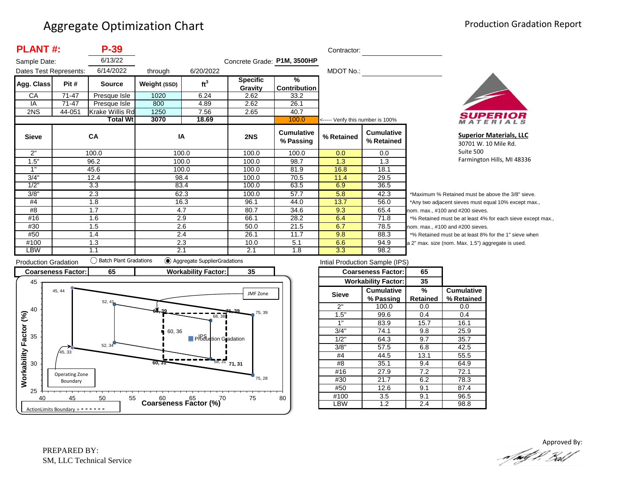| <b>PLANT#:</b>         |        | P-39             |              |                 |                             |                                | Contractor:                       |                                 |                |
|------------------------|--------|------------------|--------------|-----------------|-----------------------------|--------------------------------|-----------------------------------|---------------------------------|----------------|
| Sample Date:           |        | 6/13/22          |              |                 | Concrete Grade: P1M, 3500HP |                                |                                   |                                 |                |
| Dates Test Represents: |        | 6/14/2022        | through      | 6/20/2022       |                             |                                | MDOT No.:                         |                                 |                |
| Agg. Class             | Pit #  | <b>Source</b>    | Weight (SSD) | ft <sup>3</sup> | <b>Specific</b>             | $\frac{9}{6}$                  |                                   |                                 |                |
|                        |        |                  |              |                 | Gravity                     | <b>Contribution</b>            |                                   |                                 |                |
| СA                     | 71-47  | Presque Isle     | 1020         | 6.24            | 2.62                        | 33.2                           |                                   |                                 |                |
| IA                     | 71-47  | Presque Isle     | 800          | 4.89            | 2.62                        | 26.1                           |                                   |                                 |                |
| 2NS                    | 44-051 | Krake Willis Rd  | 1250         | 7.56            | 2.65                        | 40.7                           |                                   |                                 |                |
|                        |        | <b>Total Wtl</b> | 3070         | 18.69           |                             | 100.0                          | <----- Verify this number is 100% |                                 |                |
| <b>Sieve</b>           |        | CA               | IA           |                 | 2NS                         | <b>Cumulative</b><br>% Passing | % Retained                        | <b>Cumulative</b><br>% Retained |                |
| 2"                     |        | 100.0            | 100.0        |                 | 100.0                       | 100.0                          | 0.0                               | 0.0                             |                |
| 1.5"                   |        | 96.2             | 100.0        |                 | 100.0                       | 98.7                           | 1.3                               | 1.3                             |                |
| 1"                     |        | 45.6             | 100.0        |                 | 100.0                       | 81.9                           | 16.8                              | 18.1                            |                |
| 3/4"                   |        | 12.4             | 98.4         |                 | 100.0                       | 70.5                           | 11.4                              | 29.5                            |                |
| 1/2"                   |        | 3.3              | 83.4         |                 | 100.0                       | 63.5                           | 6.9                               | 36.5                            |                |
| 3/8"                   |        | 2.3              | 62.3         |                 | 100.0                       | 57.7                           | 5.8                               | 42.3                            | *Μ             |
| #4                     | 1.8    |                  | 16.3         |                 | 96.1                        | 44.0                           | 13.7                              | 56.0                            | *Α             |
| #8                     | 1.7    |                  | 4.7          |                 | 80.7                        | 34.6                           | 9.3                               | 65.4                            | nor            |
| #16                    |        | 1.6              | 2.9          |                 | 66.1                        | 28.2                           | 6.4                               | 71.8                            | $*_{\circ}$    |
| #30                    |        | 1.5              | 2.6          |                 | 50.0                        | 21.5                           | 6.7                               | 78.5                            | nor            |
| #50                    |        | 1.4              | 2.4          |                 | 26.1                        | 11.7                           | 9.8                               | 88.3                            | $*_{\circ}$    |
| #100                   |        | 1.3              | 2.3          |                 | 10.0                        | 5.1                            | 6.6                               | 94.9                            | a <sub>2</sub> |
| LBW                    |        | 1.1              | 2.1          |                 | 2.1                         | 1.8                            | 3.3                               | 98.2                            |                |



**Superior Materials, LLC** 30701 W. 10 Mile Rd. Suite 500 Farmington Hills, MI 48336

Maximum % Retained must be above the 3/8" sieve. Any two adjacent sieves must equal 10% except max., m. max., #100 and #200 sieves. % Retained must be at least 4% for each sieve except max., m. max., #100 and #200 sieves. % Retained must be at least 8% for the 1" sieve when " max. size (nom. Max. 1.5") aggregate is used.



| Intial Production Sample (IPS) |                            |          |                   |  |  |  |  |  |  |
|--------------------------------|----------------------------|----------|-------------------|--|--|--|--|--|--|
|                                | <b>Coarseness Factor:</b>  | 65       |                   |  |  |  |  |  |  |
|                                | <b>Workability Factor:</b> | 35       |                   |  |  |  |  |  |  |
| <b>Sieve</b>                   | Cumulative                 | %        | <b>Cumulative</b> |  |  |  |  |  |  |
|                                | % Passing                  | Retained | % Retained        |  |  |  |  |  |  |
| 2"                             | 100.0                      | 0.0      | 0.0               |  |  |  |  |  |  |
| 1.5"                           | 99.6                       | 0.4      | 0.4               |  |  |  |  |  |  |
| 1"                             | 83.9                       | 15.7     | 16.1              |  |  |  |  |  |  |
| 3/4"                           | 74.1                       | 9.8      | 25.9              |  |  |  |  |  |  |
| 1/2"                           | 64.3                       | 9.7      | 35.7              |  |  |  |  |  |  |
| 3/8"                           | 57.5                       | 6.8      | 42.5              |  |  |  |  |  |  |
| #4                             | 44.5                       | 13.1     | 55.5              |  |  |  |  |  |  |
| #8                             | 35.1                       | 9.4      | 64.9              |  |  |  |  |  |  |
| #16                            | 27.9                       | 7.2      | 72.1              |  |  |  |  |  |  |
| #30                            | 21.7                       | 6.2      | 78.3              |  |  |  |  |  |  |
| #50                            | 12.6                       |          | 87.4              |  |  |  |  |  |  |
| 3.5<br>#100                    |                            | 9.1      | 96.5              |  |  |  |  |  |  |
| _BW                            | 1.2                        | 2.4      | 98.8              |  |  |  |  |  |  |

Approved By:<br>Approved By: